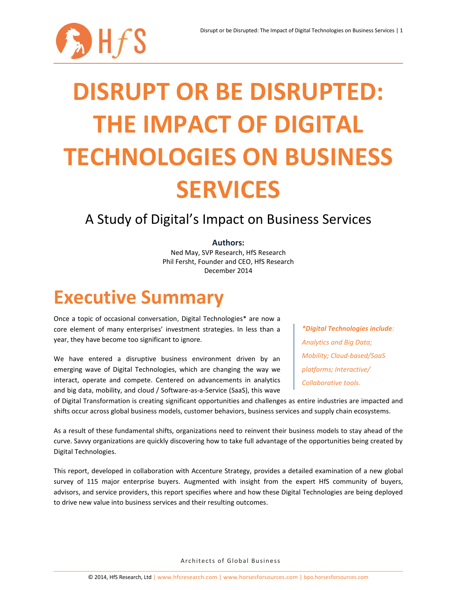

# **DISRUPT OR BE DISRUPTED: THE IMPACT OF DIGITAL TECHNOLOGIES ON BUSINESS SERVICES**

### A Study of Digital's Impact on Business Services

### **Authors:**

Ned May, SVP Research, HfS Research Phil Fersht, Founder and CEO, HfS Research December 2014

## **Executive Summary**

Once a topic of occasional conversation, Digital Technologies\* are now a core element of many enterprises' investment strategies. In less than a year, they have become too significant to ignore.

We have entered a disruptive business environment driven by an emerging wave of Digital Technologies, which are changing the way we interact, operate and compete. Centered on advancements in analytics and big data, mobility, and cloud / Software-as-a-Service (SaaS), this wave

*\*Digital Technologies include: Analytics and Big Data; Mobility; Cloud-based/SaaS platforms; Interactive/ Collaborative tools.*

of Digital Transformation is creating significant opportunities and challenges as entire industries are impacted and shifts occur across global business models, customer behaviors, business services and supply chain ecosystems.

As a result of these fundamental shifts, organizations need to reinvent their business models to stay ahead of the curve. Savvy organizations are quickly discovering how to take full advantage of the opportunities being created by Digital Technologies.

This report, developed in collaboration with Accenture Strategy, provides a detailed examination of a new global survey of 115 major enterprise buyers. Augmented with insight from the expert HfS community of buyers, advisors, and service providers, this report specifies where and how these Digital Technologies are being deployed to drive new value into business services and their resulting outcomes.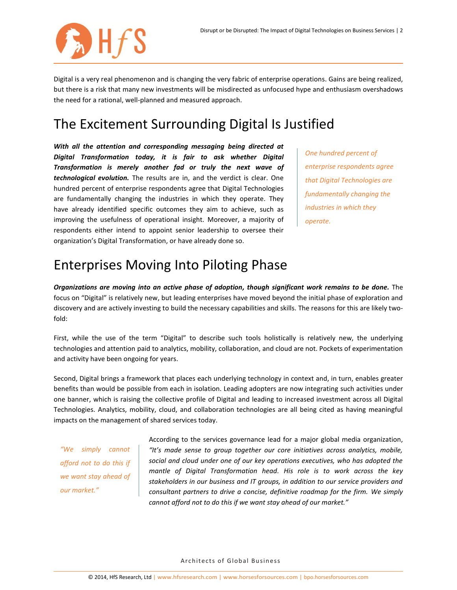

Digital is a very real phenomenon and is changing the very fabric of enterprise operations. Gains are being realized, but there is a risk that many new investments will be misdirected as unfocused hype and enthusiasm overshadows the need for a rational, well-planned and measured approach.

### The Excitement Surrounding Digital Is Justified

*With all the attention and corresponding messaging being directed at Digital Transformation today, it is fair to ask whether Digital Transformation is merely another fad or truly the next wave of technological evolution.* The results are in, and the verdict is clear. One hundred percent of enterprise respondents agree that Digital Technologies are fundamentally changing the industries in which they operate. They have already identified specific outcomes they aim to achieve, such as improving the usefulness of operational insight. Moreover, a majority of respondents either intend to appoint senior leadership to oversee their organization's Digital Transformation, or have already done so.

*One hundred percent of enterprise respondents agree that Digital Technologies are fundamentally changing the industries in which they operate.*

### Enterprises Moving Into Piloting Phase

*Organizations are moving into an active phase of adoption, though significant work remains to be done.* The focus on "Digital" is relatively new, but leading enterprises have moved beyond the initial phase of exploration and discovery and are actively investing to build the necessary capabilities and skills. The reasons for this are likely twofold:

First, while the use of the term "Digital" to describe such tools holistically is relatively new, the underlying technologies and attention paid to analytics, mobility, collaboration, and cloud are not. Pockets of experimentation and activity have been ongoing for years.

Second, Digital brings a framework that places each underlying technology in context and, in turn, enables greater benefits than would be possible from each in isolation. Leading adopters are now integrating such activities under one banner, which is raising the collective profile of Digital and leading to increased investment across all Digital Technologies. Analytics, mobility, cloud, and collaboration technologies are all being cited as having meaningful impacts on the management of shared services today.

*"We simply cannot afford not to do this if we want stay ahead of our market."*

According to the services governance lead for a major global media organization, *"It's made sense to group together our core initiatives across analytics, mobile, social and cloud under one of our key operations executives, who has adopted the mantle of Digital Transformation head. His role is to work across the key stakeholders in our business and IT groups, in addition to our service providers and consultant partners to drive a concise, definitive roadmap for the firm. We simply cannot afford not to do this if we want stay ahead of our market."*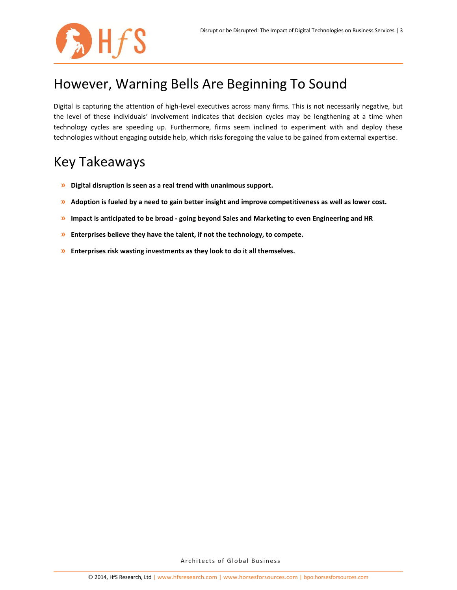

### However, Warning Bells Are Beginning To Sound

Digital is capturing the attention of high-level executives across many firms. This is not necessarily negative, but the level of these individuals' involvement indicates that decision cycles may be lengthening at a time when technology cycles are speeding up. Furthermore, firms seem inclined to experiment with and deploy these technologies without engaging outside help, which risks foregoing the value to be gained from external expertise.

### Key Takeaways

- **» Digital disruption is seen as a real trend with unanimous support.**
- **» Adoption is fueled by a need to gain better insight and improve competitiveness as well as lower cost.**
- **» Impact is anticipated to be broad - going beyond Sales and Marketing to even Engineering and HR**
- **» Enterprises believe they have the talent, if not the technology, to compete.**
- **» Enterprises risk wasting investments as they look to do it all themselves.**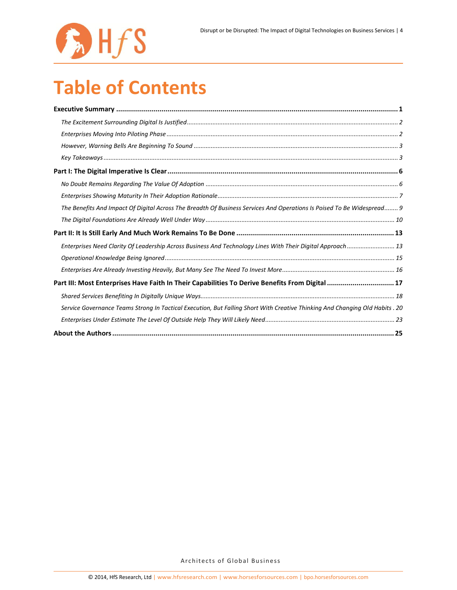

## **Table of Contents**

| The Benefits And Impact Of Digital Across The Breadth Of Business Services And Operations Is Poised To Be Widespread 9       |
|------------------------------------------------------------------------------------------------------------------------------|
|                                                                                                                              |
|                                                                                                                              |
| Enterprises Need Clarity Of Leadership Across Business And Technology Lines With Their Digital Approach 13                   |
|                                                                                                                              |
|                                                                                                                              |
| Part III: Most Enterprises Have Faith In Their Capabilities To Derive Benefits From Digital  17                              |
|                                                                                                                              |
| Service Governance Teams Strong In Tactical Execution, But Falling Short With Creative Thinking And Changing Old Habits . 20 |
|                                                                                                                              |
|                                                                                                                              |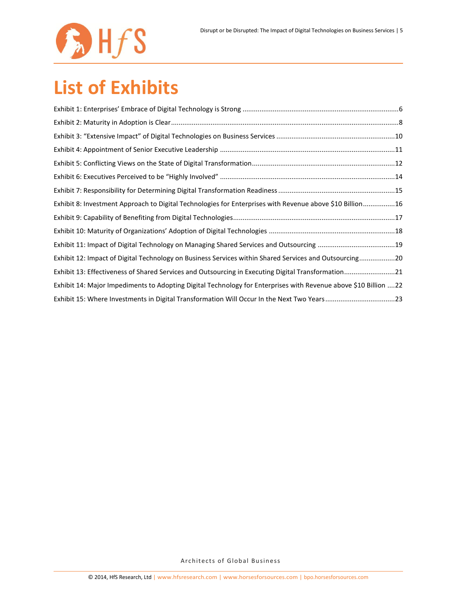

## **List of Exhibits**

| Exhibit 8: Investment Approach to Digital Technologies for Enterprises with Revenue above \$10 Billion16        |  |
|-----------------------------------------------------------------------------------------------------------------|--|
|                                                                                                                 |  |
|                                                                                                                 |  |
|                                                                                                                 |  |
| Exhibit 12: Impact of Digital Technology on Business Services within Shared Services and Outsourcing20          |  |
| Exhibit 13: Effectiveness of Shared Services and Outsourcing in Executing Digital Transformation21              |  |
| Exhibit 14: Major Impediments to Adopting Digital Technology for Enterprises with Revenue above \$10 Billion 22 |  |
| Exhibit 15: Where Investments in Digital Transformation Will Occur In the Next Two Years23                      |  |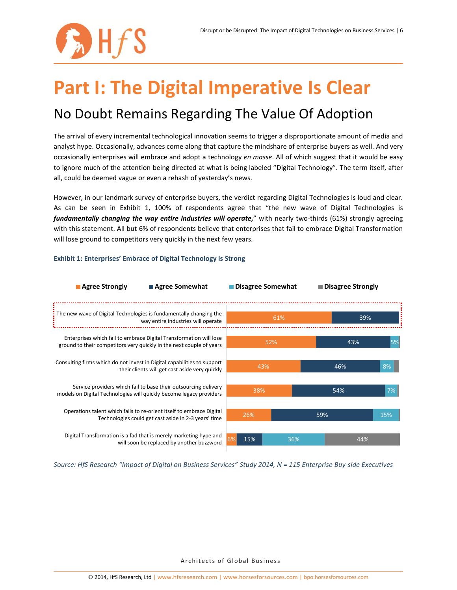

## **Part I: The Digital Imperative Is Clear** No Doubt Remains Regarding The Value Of Adoption

The arrival of every incremental technological innovation seems to trigger a disproportionate amount of media and analyst hype. Occasionally, advances come along that capture the mindshare of enterprise buyers as well. And very occasionally enterprises will embrace and adopt a technology *en masse*. All of which suggest that it would be easy to ignore much of the attention being directed at what is being labeled "Digital Technology". The term itself, after all, could be deemed vague or even a rehash of yesterday's news.

However, in our landmark survey of enterprise buyers, the verdict regarding Digital Technologies is loud and clear. As can be seen in Exhibit 1, 100% of respondents agree that "the new wave of Digital Technologies is *fundamentally changing the way entire industries will operate,*" with nearly two-thirds (61%) strongly agreeing with this statement. All but 6% of respondents believe that enterprises that fail to embrace Digital Transformation will lose ground to competitors very quickly in the next few years.



### **Exhibit 1: Enterprises' Embrace of Digital Technology is Strong**

*Source: HfS Research "Impact of Digital on Business Services" Study 2014, N = 115 Enterprise Buy-side Executives*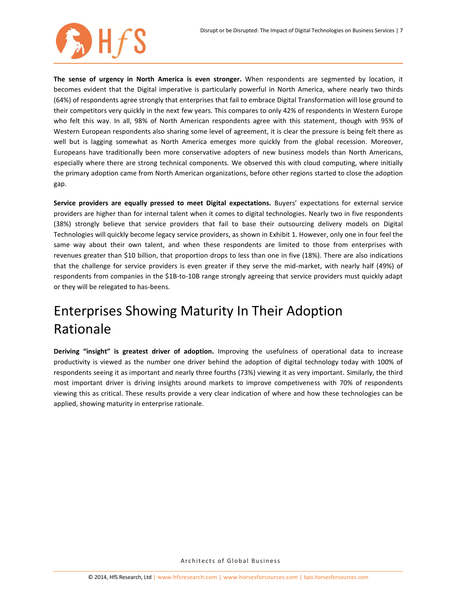

**The sense of urgency in North America is even stronger.** When respondents are segmented by location, it becomes evident that the Digital imperative is particularly powerful in North America, where nearly two thirds (64%) of respondents agree strongly that enterprises that fail to embrace Digital Transformation will lose ground to their competitors very quickly in the next few years. This compares to only 42% of respondents in Western Europe who felt this way. In all, 98% of North American respondents agree with this statement, though with 95% of Western European respondents also sharing some level of agreement, it is clear the pressure is being felt there as well but is lagging somewhat as North America emerges more quickly from the global recession. Moreover, Europeans have traditionally been more conservative adopters of new business models than North Americans, especially where there are strong technical components. We observed this with cloud computing, where initially the primary adoption came from North American organizations, before other regions started to close the adoption gap.

**Service providers are equally pressed to meet Digital expectations.** Buyers' expectations for external service providers are higher than for internal talent when it comes to digital technologies. Nearly two in five respondents (38%) strongly believe that service providers that fail to base their outsourcing delivery models on Digital Technologies will quickly become legacy service providers, as shown in Exhibit 1. However, only one in four feel the same way about their own talent, and when these respondents are limited to those from enterprises with revenues greater than \$10 billion, that proportion drops to less than one in five (18%). There are also indications that the challenge for service providers is even greater if they serve the mid-market, with nearly half (49%) of respondents from companies in the \$1B-to-10B range strongly agreeing that service providers must quickly adapt or they will be relegated to has-beens.

## Enterprises Showing Maturity In Their Adoption Rationale

**Deriving "insight" is greatest driver of adoption.** Improving the usefulness of operational data to increase productivity is viewed as the number one driver behind the adoption of digital technology today with 100% of respondents seeing it as important and nearly three fourths (73%) viewing it as very important. Similarly, the third most important driver is driving insights around markets to improve competiveness with 70% of respondents viewing this as critical. These results provide a very clear indication of where and how these technologies can be applied, showing maturity in enterprise rationale.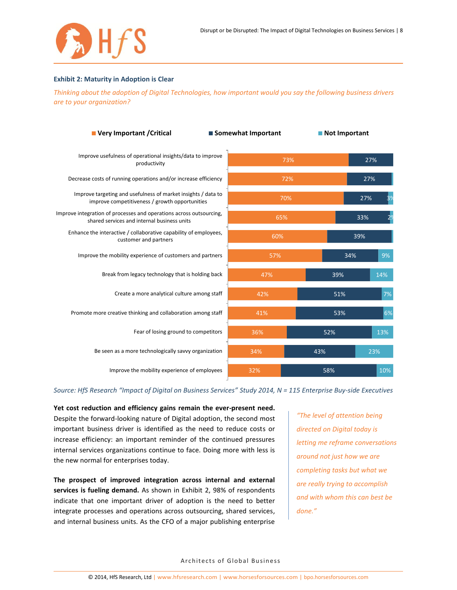

#### **Exhibit 2: Maturity in Adoption is Clear**

*Thinking about the adoption of Digital Technologies, how important would you say the following business drivers are to your organization?*

| ■ Very Important / Critical                                                                                        | ■ Somewhat Important |     | Not Important |     |  |
|--------------------------------------------------------------------------------------------------------------------|----------------------|-----|---------------|-----|--|
| Improve usefulness of operational insights/data to improve<br>productivity                                         | 73%                  |     |               | 27% |  |
| Decrease costs of running operations and/or increase efficiency                                                    | 72%                  |     |               | 27% |  |
| Improve targeting and usefulness of market insights / data to<br>improve competitiveness / growth opportunities    | 70%                  |     |               | 27% |  |
| Improve integration of processes and operations across outsourcing,<br>shared services and internal business units | 65%                  |     | 33%           |     |  |
| Enhance the interactive / collaborative capability of employees,<br>customer and partners                          | 60%                  |     | 39%           |     |  |
| Improve the mobility experience of customers and partners                                                          | 57%                  |     | 34%           | 9%  |  |
| Break from legacy technology that is holding back                                                                  | 47%                  |     | 39%           | 14% |  |
| Create a more analytical culture among staff                                                                       | 42%                  |     | 51%           | 7%  |  |
| Promote more creative thinking and collaboration among staff                                                       | 41%                  |     | 53%           | 6%  |  |
| Fear of losing ground to competitors                                                                               | 36%                  |     | 52%           | 13% |  |
| Be seen as a more technologically savvy organization                                                               | 34%                  | 43% |               | 23% |  |
| Improve the mobility experience of employees                                                                       | 32%                  | 58% |               | 10% |  |

*Source: HfS Research "Impact of Digital on Business Services" Study 2014, N = 115 Enterprise Buy-side Executives*

**Yet cost reduction and efficiency gains remain the ever-present need.** Despite the forward-looking nature of Digital adoption, the second most important business driver is identified as the need to reduce costs or increase efficiency: an important reminder of the continued pressures internal services organizations continue to face. Doing more with less is the new normal for enterprises today.

**The prospect of improved integration across internal and external services is fueling demand.** As shown in Exhibit 2, 98% of respondents indicate that one important driver of adoption is the need to better integrate processes and operations across outsourcing, shared services, and internal business units. As the CFO of a major publishing enterprise

*"The level of attention being directed on Digital today is letting me reframe conversations around not just how we are completing tasks but what we are really trying to accomplish and with whom this can best be done."*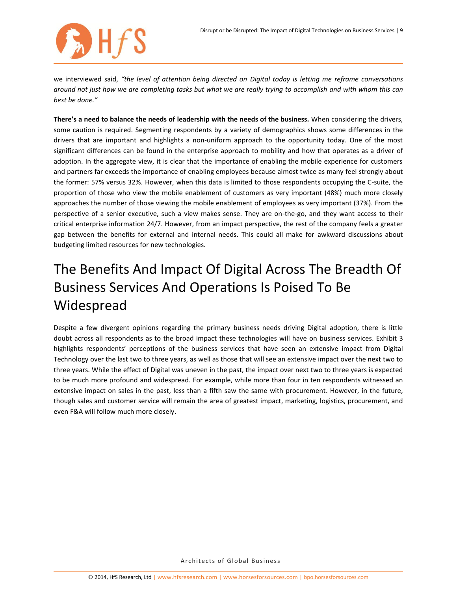

we interviewed said, *"the level of attention being directed on Digital today is letting me reframe conversations around not just how we are completing tasks but what we are really trying to accomplish and with whom this can best be done."*

**There's a need to balance the needs of leadership with the needs of the business.** When considering the drivers, some caution is required. Segmenting respondents by a variety of demographics shows some differences in the drivers that are important and highlights a non-uniform approach to the opportunity today. One of the most significant differences can be found in the enterprise approach to mobility and how that operates as a driver of adoption. In the aggregate view, it is clear that the importance of enabling the mobile experience for customers and partners far exceeds the importance of enabling employees because almost twice as many feel strongly about the former: 57% versus 32%. However, when this data is limited to those respondents occupying the C-suite, the proportion of those who view the mobile enablement of customers as very important (48%) much more closely approaches the number of those viewing the mobile enablement of employees as very important (37%). From the perspective of a senior executive, such a view makes sense. They are on-the-go, and they want access to their critical enterprise information 24/7. However, from an impact perspective, the rest of the company feels a greater gap between the benefits for external and internal needs. This could all make for awkward discussions about budgeting limited resources for new technologies.

## The Benefits And Impact Of Digital Across The Breadth Of Business Services And Operations Is Poised To Be Widespread

Despite a few divergent opinions regarding the primary business needs driving Digital adoption, there is little doubt across all respondents as to the broad impact these technologies will have on business services. Exhibit 3 highlights respondents' perceptions of the business services that have seen an extensive impact from Digital Technology over the last two to three years, as well as those that will see an extensive impact over the next two to three years. While the effect of Digital was uneven in the past, the impact over next two to three years is expected to be much more profound and widespread. For example, while more than four in ten respondents witnessed an extensive impact on sales in the past, less than a fifth saw the same with procurement. However, in the future, though sales and customer service will remain the area of greatest impact, marketing, logistics, procurement, and even F&A will follow much more closely.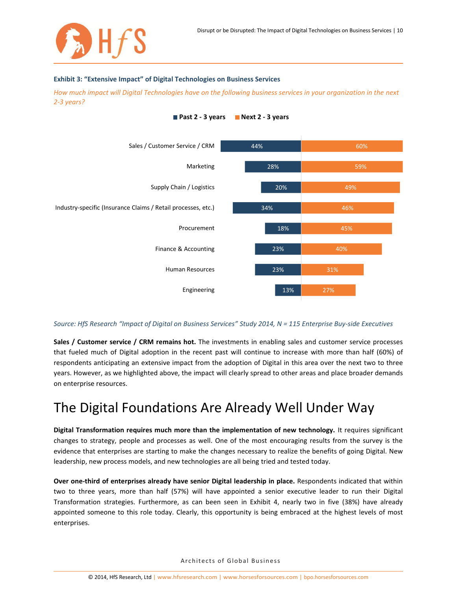#### **Exhibit 3: "Extensive Impact" of Digital Technologies on Business Services**

*How much impact will Digital Technologies have on the following business services in your organization in the next 2-3 years?*



### **Past 2 - 3 years Next 2 - 3 years**

### *Source: HfS Research "Impact of Digital on Business Services" Study 2014, N = 115 Enterprise Buy-side Executives*

**Sales / Customer service / CRM remains hot.** The investments in enabling sales and customer service processes that fueled much of Digital adoption in the recent past will continue to increase with more than half (60%) of respondents anticipating an extensive impact from the adoption of Digital in this area over the next two to three years. However, as we highlighted above, the impact will clearly spread to other areas and place broader demands on enterprise resources.

### The Digital Foundations Are Already Well Under Way

**Digital Transformation requires much more than the implementation of new technology.** It requires significant changes to strategy, people and processes as well. One of the most encouraging results from the survey is the evidence that enterprises are starting to make the changes necessary to realize the benefits of going Digital. New leadership, new process models, and new technologies are all being tried and tested today.

**Over one-third of enterprises already have senior Digital leadership in place.** Respondents indicated that within two to three years, more than half (57%) will have appointed a senior executive leader to run their Digital Transformation strategies. Furthermore, as can been seen in Exhibit 4, nearly two in five (38%) have already appointed someone to this role today. Clearly, this opportunity is being embraced at the highest levels of most enterprises.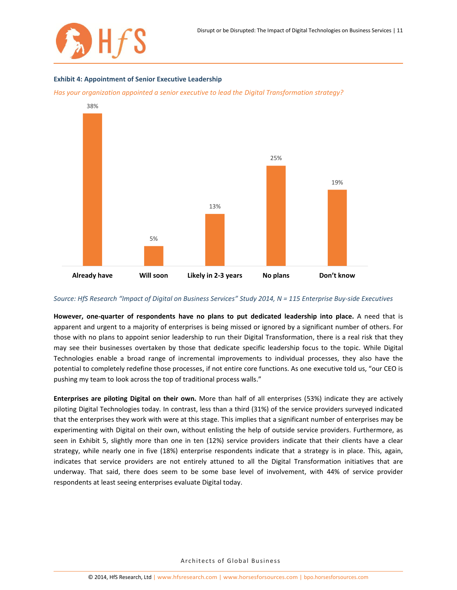

#### **Exhibit 4: Appointment of Senior Executive Leadership**

*Has your organization appointed a senior executive to lead the Digital Transformation strategy?*



#### *Source: HfS Research "Impact of Digital on Business Services" Study 2014, N = 115 Enterprise Buy-side Executives*

**However, one-quarter of respondents have no plans to put dedicated leadership into place.** A need that is apparent and urgent to a majority of enterprises is being missed or ignored by a significant number of others. For those with no plans to appoint senior leadership to run their Digital Transformation, there is a real risk that they may see their businesses overtaken by those that dedicate specific leadership focus to the topic. While Digital Technologies enable a broad range of incremental improvements to individual processes, they also have the potential to completely redefine those processes, if not entire core functions. As one executive told us, "our CEO is pushing my team to look across the top of traditional process walls."

**Enterprises are piloting Digital on their own.** More than half of all enterprises (53%) indicate they are actively piloting Digital Technologies today. In contrast, less than a third (31%) of the service providers surveyed indicated that the enterprises they work with were at this stage. This implies that a significant number of enterprises may be experimenting with Digital on their own, without enlisting the help of outside service providers. Furthermore, as seen in Exhibit 5, slightly more than one in ten (12%) service providers indicate that their clients have a clear strategy, while nearly one in five (18%) enterprise respondents indicate that a strategy is in place. This, again, indicates that service providers are not entirely attuned to all the Digital Transformation initiatives that are underway. That said, there does seem to be some base level of involvement, with 44% of service provider respondents at least seeing enterprises evaluate Digital today.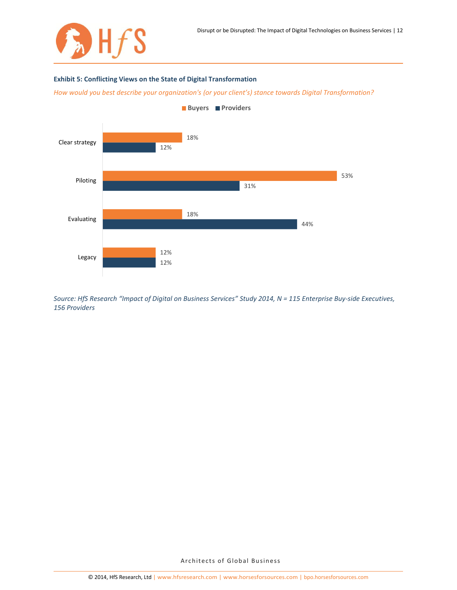

### **Exhibit 5: Conflicting Views on the State of Digital Transformation**

*How would you best describe your organization's (or your client's) stance towards Digital Transformation?*



*Source: HfS Research "Impact of Digital on Business Services" Study 2014, N = 115 Enterprise Buy-side Executives, 156 Providers*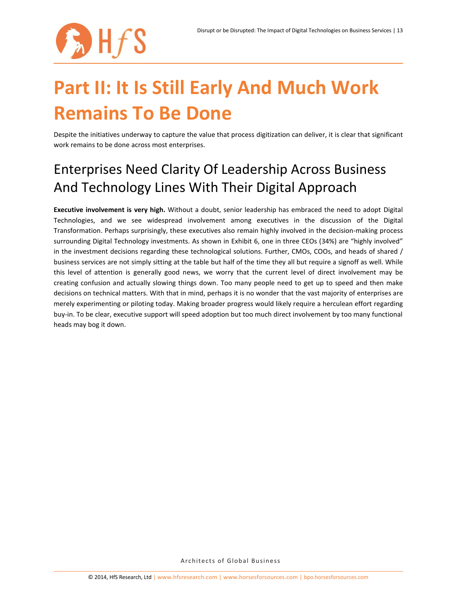

## **Part II: It Is Still Early And Much Work Remains To Be Done**

Despite the initiatives underway to capture the value that process digitization can deliver, it is clear that significant work remains to be done across most enterprises.

### Enterprises Need Clarity Of Leadership Across Business And Technology Lines With Their Digital Approach

**Executive involvement is very high.** Without a doubt, senior leadership has embraced the need to adopt Digital Technologies, and we see widespread involvement among executives in the discussion of the Digital Transformation. Perhaps surprisingly, these executives also remain highly involved in the decision-making process surrounding Digital Technology investments. As shown in Exhibit 6, one in three CEOs (34%) are "highly involved" in the investment decisions regarding these technological solutions. Further, CMOs, COOs, and heads of shared / business services are not simply sitting at the table but half of the time they all but require a signoff as well. While this level of attention is generally good news, we worry that the current level of direct involvement may be creating confusion and actually slowing things down. Too many people need to get up to speed and then make decisions on technical matters. With that in mind, perhaps it is no wonder that the vast majority of enterprises are merely experimenting or piloting today. Making broader progress would likely require a herculean effort regarding buy-in. To be clear, executive support will speed adoption but too much direct involvement by too many functional heads may bog it down.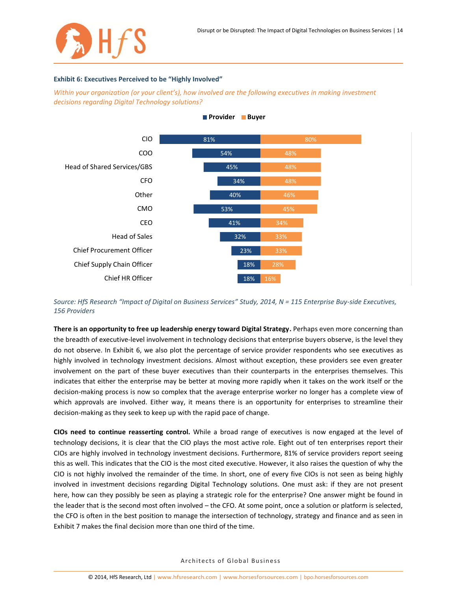

#### **Exhibit 6: Executives Perceived to be "Highly Involved"**

*Within your organization (or your client's), how involved are the following executives in making investment decisions regarding Digital Technology solutions?*



### **Provider Buyer**

*Source: HfS Research "Impact of Digital on Business Services" Study, 2014, N = 115 Enterprise Buy-side Executives, 156 Providers*

**There is an opportunity to free up leadership energy toward Digital Strategy.** Perhaps even more concerning than the breadth of executive-level involvement in technology decisions that enterprise buyers observe, is the level they do not observe. In Exhibit 6, we also plot the percentage of service provider respondents who see executives as highly involved in technology investment decisions. Almost without exception, these providers see even greater involvement on the part of these buyer executives than their counterparts in the enterprises themselves. This indicates that either the enterprise may be better at moving more rapidly when it takes on the work itself or the decision-making process is now so complex that the average enterprise worker no longer has a complete view of which approvals are involved. Either way, it means there is an opportunity for enterprises to streamline their decision-making as they seek to keep up with the rapid pace of change.

**CIOs need to continue reasserting control.** While a broad range of executives is now engaged at the level of technology decisions, it is clear that the CIO plays the most active role. Eight out of ten enterprises report their CIOs are highly involved in technology investment decisions. Furthermore, 81% of service providers report seeing this as well. This indicates that the CIO is the most cited executive. However, it also raises the question of why the CIO is not highly involved the remainder of the time. In short, one of every five CIOs is not seen as being highly involved in investment decisions regarding Digital Technology solutions. One must ask: if they are not present here, how can they possibly be seen as playing a strategic role for the enterprise? One answer might be found in the leader that is the second most often involved – the CFO. At some point, once a solution or platform is selected, the CFO is often in the best position to manage the intersection of technology, strategy and finance and as seen in Exhibit 7 makes the final decision more than one third of the time.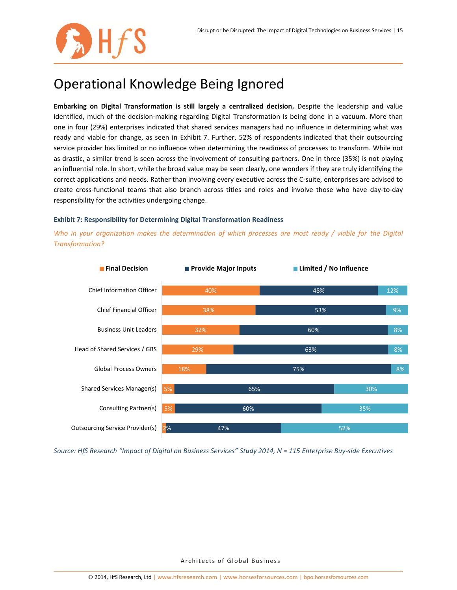### Operational Knowledge Being Ignored

**Embarking on Digital Transformation is still largely a centralized decision.** Despite the leadership and value identified, much of the decision-making regarding Digital Transformation is being done in a vacuum. More than one in four (29%) enterprises indicated that shared services managers had no influence in determining what was ready and viable for change, as seen in Exhibit 7. Further, 52% of respondents indicated that their outsourcing service provider has limited or no influence when determining the readiness of processes to transform. While not as drastic, a similar trend is seen across the involvement of consulting partners. One in three (35%) is not playing an influential role. In short, while the broad value may be seen clearly, one wonders if they are truly identifying the correct applications and needs. Rather than involving every executive across the C-suite, enterprises are advised to create cross-functional teams that also branch across titles and roles and involve those who have day-to-day responsibility for the activities undergoing change.

### **Exhibit 7: Responsibility for Determining Digital Transformation Readiness**

*Who in your organization makes the determination of which processes are most ready / viable for the Digital Transformation?*



*Source: HfS Research "Impact of Digital on Business Services" Study 2014, N = 115 Enterprise Buy-side Executives*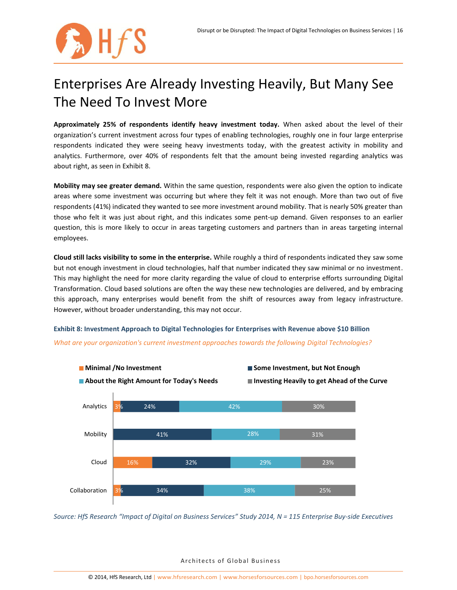

## Enterprises Are Already Investing Heavily, But Many See The Need To Invest More

**Approximately 25% of respondents identify heavy investment today.** When asked about the level of their organization's current investment across four types of enabling technologies, roughly one in four large enterprise respondents indicated they were seeing heavy investments today, with the greatest activity in mobility and analytics. Furthermore, over 40% of respondents felt that the amount being invested regarding analytics was about right, as seen in Exhibit 8.

**Mobility may see greater demand.** Within the same question, respondents were also given the option to indicate areas where some investment was occurring but where they felt it was not enough. More than two out of five respondents (41%) indicated they wanted to see more investment around mobility. That is nearly 50% greater than those who felt it was just about right, and this indicates some pent-up demand. Given responses to an earlier question, this is more likely to occur in areas targeting customers and partners than in areas targeting internal employees.

**Cloud still lacks visibility to some in the enterprise.** While roughly a third of respondents indicated they saw some but not enough investment in cloud technologies, half that number indicated they saw minimal or no investment. This may highlight the need for more clarity regarding the value of cloud to enterprise efforts surrounding Digital Transformation. Cloud based solutions are often the way these new technologies are delivered, and by embracing this approach, many enterprises would benefit from the shift of resources away from legacy infrastructure. However, without broader understanding, this may not occur.

**Exhibit 8: Investment Approach to Digital Technologies for Enterprises with Revenue above \$10 Billion**

*What are your organization's current investment approaches towards the following Digital Technologies?*



*Source: HfS Research "Impact of Digital on Business Services" Study 2014, N = 115 Enterprise Buy-side Executives*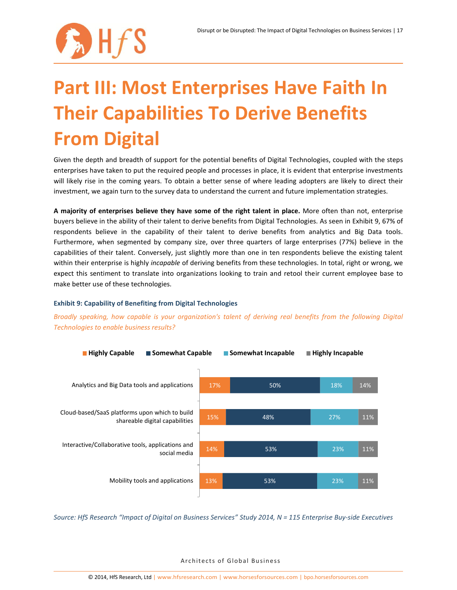

# **Part III: Most Enterprises Have Faith In Their Capabilities To Derive Benefits From Digital**

Given the depth and breadth of support for the potential benefits of Digital Technologies, coupled with the steps enterprises have taken to put the required people and processes in place, it is evident that enterprise investments will likely rise in the coming years. To obtain a better sense of where leading adopters are likely to direct their investment, we again turn to the survey data to understand the current and future implementation strategies.

**A majority of enterprises believe they have some of the right talent in place.** More often than not, enterprise buyers believe in the ability of their talent to derive benefits from Digital Technologies. As seen in Exhibit 9, 67% of respondents believe in the capability of their talent to derive benefits from analytics and Big Data tools. Furthermore, when segmented by company size, over three quarters of large enterprises (77%) believe in the capabilities of their talent. Conversely, just slightly more than one in ten respondents believe the existing talent within their enterprise is highly *incapable* of deriving benefits from these technologies. In total, right or wrong, we expect this sentiment to translate into organizations looking to train and retool their current employee base to make better use of these technologies.

### **Exhibit 9: Capability of Benefiting from Digital Technologies**





*Source: HfS Research "Impact of Digital on Business Services" Study 2014, N = 115 Enterprise Buy-side Executives*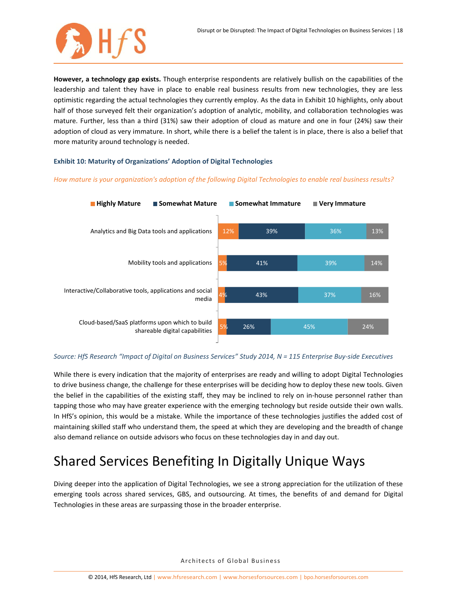

**However, a technology gap exists.** Though enterprise respondents are relatively bullish on the capabilities of the leadership and talent they have in place to enable real business results from new technologies, they are less optimistic regarding the actual technologies they currently employ. As the data in Exhibit 10 highlights, only about half of those surveyed felt their organization's adoption of analytic, mobility, and collaboration technologies was mature. Further, less than a third (31%) saw their adoption of cloud as mature and one in four (24%) saw their adoption of cloud as very immature. In short, while there is a belief the talent is in place, there is also a belief that more maturity around technology is needed.

### **Exhibit 10: Maturity of Organizations' Adoption of Digital Technologies**

### *How mature is your organization's adoption of the following Digital Technologies to enable real business results?*



### *Source: HfS Research "Impact of Digital on Business Services" Study 2014, N = 115 Enterprise Buy-side Executives*

While there is every indication that the majority of enterprises are ready and willing to adopt Digital Technologies to drive business change, the challenge for these enterprises will be deciding how to deploy these new tools. Given the belief in the capabilities of the existing staff, they may be inclined to rely on in-house personnel rather than tapping those who may have greater experience with the emerging technology but reside outside their own walls. In HfS's opinion, this would be a mistake. While the importance of these technologies justifies the added cost of maintaining skilled staff who understand them, the speed at which they are developing and the breadth of change also demand reliance on outside advisors who focus on these technologies day in and day out.

### Shared Services Benefiting In Digitally Unique Ways

Diving deeper into the application of Digital Technologies, we see a strong appreciation for the utilization of these emerging tools across shared services, GBS, and outsourcing. At times, the benefits of and demand for Digital Technologies in these areas are surpassing those in the broader enterprise.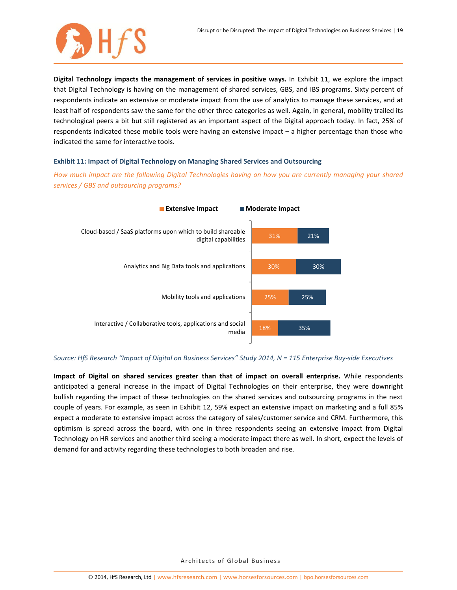

**Digital Technology impacts the management of services in positive ways.** In Exhibit 11, we explore the impact that Digital Technology is having on the management of shared services, GBS, and IBS programs. Sixty percent of respondents indicate an extensive or moderate impact from the use of analytics to manage these services, and at least half of respondents saw the same for the other three categories as well. Again, in general, mobility trailed its technological peers a bit but still registered as an important aspect of the Digital approach today. In fact, 25% of respondents indicated these mobile tools were having an extensive impact – a higher percentage than those who indicated the same for interactive tools.

### **Exhibit 11: Impact of Digital Technology on Managing Shared Services and Outsourcing**

*How much impact are the following Digital Technologies having on how you are currently managing your shared services / GBS and outsourcing programs?*



### *Source: HfS Research "Impact of Digital on Business Services" Study 2014, N = 115 Enterprise Buy-side Executives*

**Impact of Digital on shared services greater than that of impact on overall enterprise.** While respondents anticipated a general increase in the impact of Digital Technologies on their enterprise, they were downright bullish regarding the impact of these technologies on the shared services and outsourcing programs in the next couple of years. For example, as seen in Exhibit 12, 59% expect an extensive impact on marketing and a full 85% expect a moderate to extensive impact across the category of sales/customer service and CRM. Furthermore, this optimism is spread across the board, with one in three respondents seeing an extensive impact from Digital Technology on HR services and another third seeing a moderate impact there as well. In short, expect the levels of demand for and activity regarding these technologies to both broaden and rise.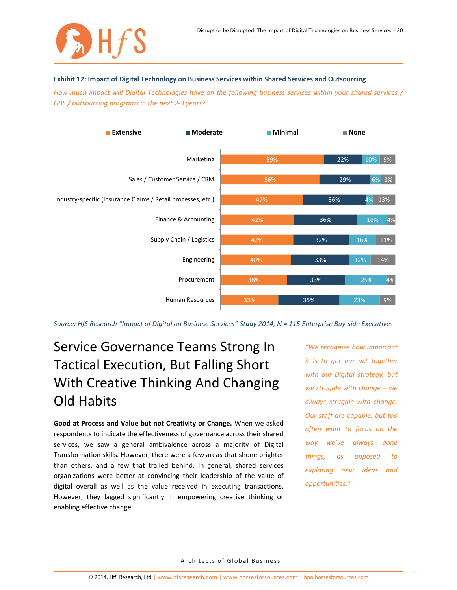

#### **Exhibit 12: Impact of Digital Technology on Business Services within Shared Services and Outsourcing**

*How much impact will Digital Technologies have on the following business services within your shared services / GBS / outsourcing programs in the next 2-3 years?*



*Source: HfS Research "Impact of Digital on Business Services" Study 2014, N = 115 Enterprise Buy-side Executives*

### Service Governance Teams Strong In Tactical Execution, But Falling Short With Creative Thinking And Changing Old Habits

**Good at Process and Value but not Creativity or Change.** When we asked respondents to indicate the effectiveness of governance across their shared services, we saw a general ambivalence across a majority of Digital Transformation skills. However, there were a few areas that shone brighter than others, and a few that trailed behind. In general, shared services organizations were better at convincing their leadership of the value of digital overall as well as the value received in executing transactions. However, they lagged significantly in empowering creative thinking or enabling effective change.

*"We recognize how important it is to get our act together with our Digital strategy, but we struggle with change – we always struggle with change. Our staff are capable, but too often want to focus on the way we've always done things, as opposed to exploring new ideas and opportunities."*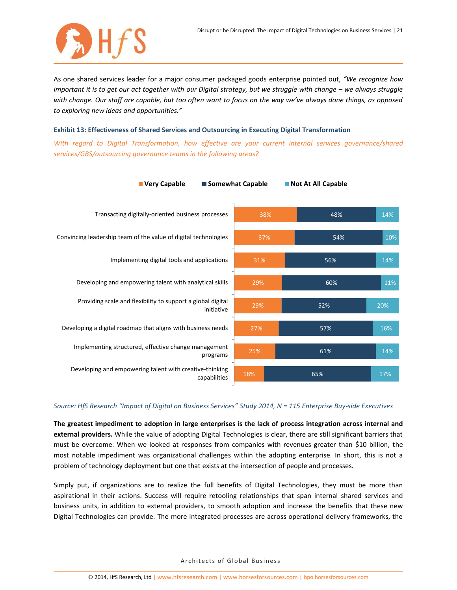

As one shared services leader for a major consumer packaged goods enterprise pointed out, *"We recognize how important it is to get our act together with our Digital strategy, but we struggle with change – we always struggle with change. Our staff are capable, but too often want to focus on the way we've always done things, as opposed to exploring new ideas and opportunities."*

#### **Exhibit 13: Effectiveness of Shared Services and Outsourcing in Executing Digital Transformation**

*With regard to Digital Transformation, how effective are your current internal services governance/shared services/GBS/outsourcing governance teams in the following areas?*



### *Source: HfS Research "Impact of Digital on Business Services" Study 2014, N = 115 Enterprise Buy-side Executives*

**The greatest impediment to adoption in large enterprises is the lack of process integration across internal and external providers.** While the value of adopting Digital Technologies is clear, there are still significant barriers that must be overcome. When we looked at responses from companies with revenues greater than \$10 billion, the most notable impediment was organizational challenges within the adopting enterprise. In short, this is not a problem of technology deployment but one that exists at the intersection of people and processes.

Simply put, if organizations are to realize the full benefits of Digital Technologies, they must be more than aspirational in their actions. Success will require retooling relationships that span internal shared services and business units, in addition to external providers, to smooth adoption and increase the benefits that these new Digital Technologies can provide. The more integrated processes are across operational delivery frameworks, the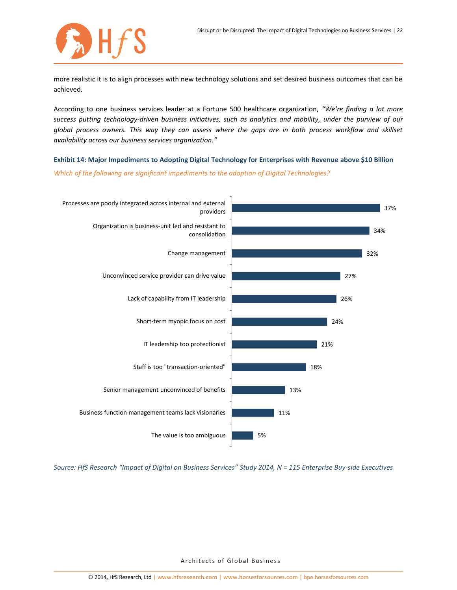

more realistic it is to align processes with new technology solutions and set desired business outcomes that can be achieved.

According to one business services leader at a Fortune 500 healthcare organization, *"We're finding a lot more success putting technology-driven business initiatives, such as analytics and mobility, under the purview of our global process owners. This way they can assess where the gaps are in both process workflow and skillset availability across our business services organization."*

**Exhibit 14: Major Impediments to Adopting Digital Technology for Enterprises with Revenue above \$10 Billion**

*Which of the following are significant impediments to the adoption of Digital Technologies?*



*Source: HfS Research "Impact of Digital on Business Services" Study 2014, N = 115 Enterprise Buy-side Executives*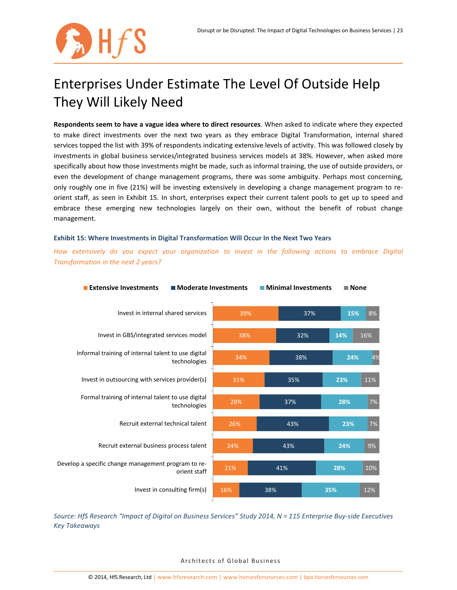

## Enterprises Under Estimate The Level Of Outside Help They Will Likely Need

**Respondents seem to have a vague idea where to direct resources**. When asked to indicate where they expected to make direct investments over the next two years as they embrace Digital Transformation, internal shared services topped the list with 39% of respondents indicating extensive levels of activity. This was followed closely by investments in global business services/integrated business services models at 38%. However, when asked more specifically about how those investments might be made, such as informal training, the use of outside providers, or even the development of change management programs, there was some ambiguity. Perhaps most concerning, only roughly one in five (21%) will be investing extensively in developing a change management program to reorient staff, as seen in Exhibit 15. In short, enterprises expect their current talent pools to get up to speed and embrace these emerging new technologies largely on their own, without the benefit of robust change management.

### **Exhibit 15: Where Investments in Digital Transformation Will Occur In the Next Two Years**

*How extensively do you expect your organization to invest in the following actions to embrace Digital Transformation in the next 2 years?*



*Source: HfS Research "Impact of Digital on Business Services" Study 2014, N = 115 Enterprise Buy-side Executives Key Takeaways*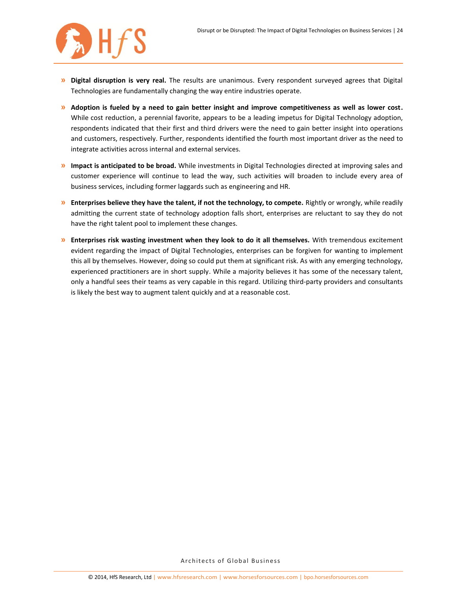

- **» Digital disruption is very real.** The results are unanimous. Every respondent surveyed agrees that Digital Technologies are fundamentally changing the way entire industries operate.
- **» Adoption is fueled by a need to gain better insight and improve competitiveness as well as lower cost.**  While cost reduction, a perennial favorite, appears to be a leading impetus for Digital Technology adoption, respondents indicated that their first and third drivers were the need to gain better insight into operations and customers, respectively. Further, respondents identified the fourth most important driver as the need to integrate activities across internal and external services.
- **» Impact is anticipated to be broad.** While investments in Digital Technologies directed at improving sales and customer experience will continue to lead the way, such activities will broaden to include every area of business services, including former laggards such as engineering and HR.
- **» Enterprises believe they have the talent, if not the technology, to compete.** Rightly or wrongly, while readily admitting the current state of technology adoption falls short, enterprises are reluctant to say they do not have the right talent pool to implement these changes.
- **» Enterprises risk wasting investment when they look to do it all themselves.** With tremendous excitement evident regarding the impact of Digital Technologies, enterprises can be forgiven for wanting to implement this all by themselves. However, doing so could put them at significant risk. As with any emerging technology, experienced practitioners are in short supply. While a majority believes it has some of the necessary talent, only a handful sees their teams as very capable in this regard. Utilizing third-party providers and consultants is likely the best way to augment talent quickly and at a reasonable cost.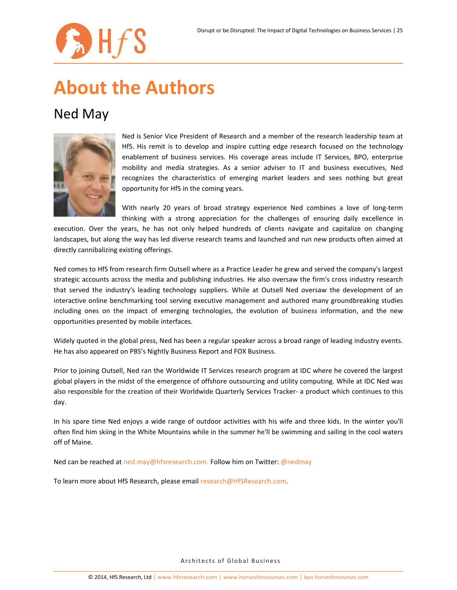

## **About the Authors**

### Ned May



Ned is Senior Vice President of Research and a member of the research leadership team at HfS. His remit is to develop and inspire cutting edge research focused on the technology enablement of business services. His coverage areas include IT Services, BPO, enterprise mobility and media strategies. As a senior adviser to IT and business executives, Ned recognizes the characteristics of emerging market leaders and sees nothing but great opportunity for HfS in the coming years.

With nearly 20 years of broad strategy experience Ned combines a love of long-term thinking with a strong appreciation for the challenges of ensuring daily excellence in

execution. Over the years, he has not only helped hundreds of clients navigate and capitalize on changing landscapes, but along the way has led diverse research teams and launched and run new products often aimed at directly cannibalizing existing offerings.

Ned comes to HfS from research firm Outsell where as a Practice Leader he grew and served the company's largest strategic accounts across the media and publishing industries. He also oversaw the firm's cross industry research that served the industry's leading technology suppliers. While at Outsell Ned oversaw the development of an interactive online benchmarking tool serving executive management and authored many groundbreaking studies including ones on the impact of emerging technologies, the evolution of business information, and the new opportunities presented by mobile interfaces.

Widely quoted in the global press, Ned has been a regular speaker across a broad range of leading industry events. He has also appeared on PBS's Nightly Business Report and FOX Business.

Prior to joining Outsell, Ned ran the Worldwide IT Services research program at IDC where he covered the largest global players in the midst of the emergence of offshore outsourcing and utility computing. While at IDC Ned was also responsible for the creation of their Worldwide Quarterly Services Tracker- a product which continues to this day.

In his spare time Ned enjoys a wide range of outdoor activities with his wife and three kids. In the winter you'll often find him skiing in the White Mountains while in the summer he'll be swimming and sailing in the cool waters off of Maine.

Ned can be reached at [ned.may@hfsresearch.com.](mailto:ned.may@hfsresearch.com) Follow him on Twitter: [@nedmay](https://twitter.com/nedmay)

To learn more about HfS Research, please email [research@HfSResearch.com.](mailto:research@HfSResearch.com)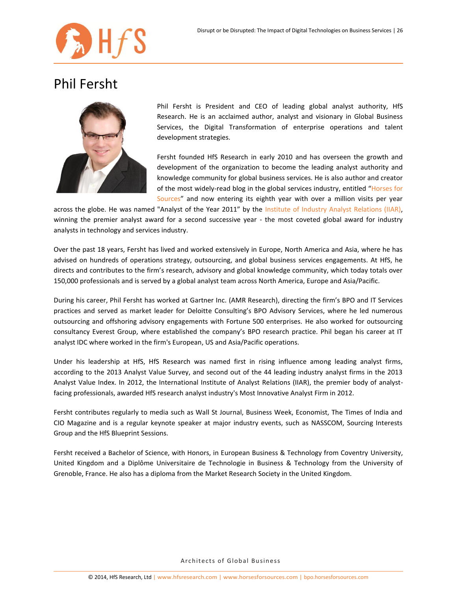

### Phil Fersht



Phil Fersht is President and CEO of leading global analyst authority, HfS Research. He is an acclaimed author, analyst and visionary in Global Business Services, the Digital Transformation of enterprise operations and talent development strategies.

Fersht founded HfS Research in early 2010 and has overseen the growth and development of the organization to become the leading analyst authority and knowledge community for global business services. He is also author and creator of the most widely-read blog in the global services industry, entitled "[Horses for](http://www.horsesforsources.com/)  [Sources](http://www.horsesforsources.com/)" and now entering its eighth year with over a million visits per year

across the globe. He was named "Analyst of the Year 2011" by the [Institute of Industry Analyst Relations \(IIAR\),](http://analystrelations.org/2011/10/21/iiar-analyst-of-the-year-winners-2011-announced/#more-3306) winning the premier analyst award for a second successive year - the most coveted global award for industry analysts in technology and services industry.

Over the past 18 years, Fersht has lived and worked extensively in Europe, North America and Asia, where he has advised on hundreds of operations strategy, outsourcing, and global business services engagements. At HfS, he directs and contributes to the firm's research, advisory and global knowledge community, which today totals over 150,000 professionals and is served by a global analyst team across North America, Europe and Asia/Pacific.

During his career, Phil Fersht has worked at Gartner Inc. (AMR Research), directing the firm's BPO and IT Services practices and served as market leader for Deloitte Consulting's BPO Advisory Services, where he led numerous outsourcing and offshoring advisory engagements with Fortune 500 enterprises. He also worked for outsourcing consultancy Everest Group, where established the company's BPO research practice. Phil began his career at IT analyst IDC where worked in the firm's European, US and Asia/Pacific operations.

Under his leadership at HfS, HfS Research was named first in rising influence among leading analyst firms, according to the 2013 Analyst Value Survey, and second out of the 44 leading industry analyst firms in the 2013 Analyst Value Index. In 2012, the International Institute of Analyst Relations (IIAR), the premier body of analystfacing professionals, awarded HfS research analyst industry's Most Innovative Analyst Firm in 2012.

Fersht contributes regularly to media such as Wall St Journal, Business Week, Economist, The Times of India and CIO Magazine and is a regular keynote speaker at major industry events, such as NASSCOM, Sourcing Interests Group and the HfS Blueprint Sessions.

Fersht received a Bachelor of Science, with Honors, in European Business & Technology from Coventry University, United Kingdom and a Diplôme Universitaire de Technologie in Business & Technology from the University of Grenoble, France. He also has a diploma from the Market Research Society in the United Kingdom.